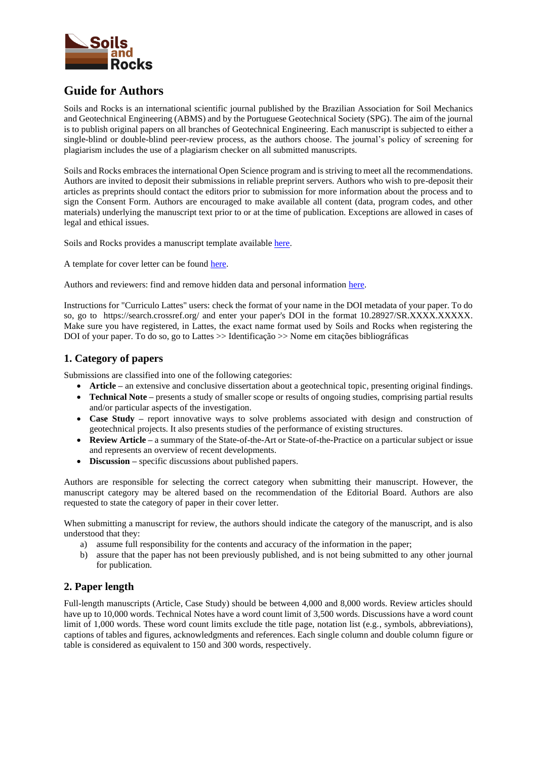

# **Guide for Authors**

Soils and Rocks is an international scientific journal published by the Brazilian Association for Soil Mechanics and Geotechnical Engineering (ABMS) and by the Portuguese Geotechnical Society (SPG). The aim of the journal is to publish original papers on all branches of Geotechnical Engineering. Each manuscript is subjected to either a single-blind or double-blind peer-review process, as the authors choose. The journal's policy of screening for plagiarism includes the use of a plagiarism checker on all submitted manuscripts.

Soils and Rocks embraces the international Open Science program and is striving to meet all the recommendations. Authors are invited to deposit their submissions in reliable preprint servers. Authors who wish to pre-deposit their articles as preprints should contact the editors prior to submission for more information about the process and to sign the Consent Form. Authors are encouraged to make available all content (data, program codes, and other materials) underlying the manuscript text prior to or at the time of publication. Exceptions are allowed in cases of legal and ethical issues.

Soils and Rocks provides a manuscript template available [here.](https://drive.google.com/file/d/17BGwQaD79WSPBVm6BAYATv1rAqNodCZW/view?usp=sharing)

A template for cover letter can be found [here.](https://drive.google.com/file/d/1g6Y_7H41Imo5MnJkxDMtksHx10e_svPN/view?usp=sharing)

Authors and reviewers: find and remove hidden data and personal information [here.](http://simples.serdigital.com.br/clientes/soils/arquivos/266.pdf)

Instructions for "Curriculo Lattes" users: check the format of your name in the DOI metadata of your paper. To do so, go to https://search.crossref.org/ and enter your paper's DOI in the format 10.28927/SR.XXXX.XXXXX. Make sure you have registered, in Lattes, the exact name format used by Soils and Rocks when registering the DOI of your paper. To do so, go to Lattes >> Identificação >> Nome em citações bibliográficas

# **1. Category of papers**

Submissions are classified into one of the following categories:

- **Article** an extensive and conclusive dissertation about a geotechnical topic, presenting original findings.
- **Technical Note** presents a study of smaller scope or results of ongoing studies, comprising partial results and/or particular aspects of the investigation.
- **Case Study –** report innovative ways to solve problems associated with design and construction of geotechnical projects. It also presents studies of the performance of existing structures.
- **Review Article –** a summary of the State-of-the-Art or State-of-the-Practice on a particular subject or issue and represents an overview of recent developments.
- **Discussion –** specific discussions about published papers.

Authors are responsible for selecting the correct category when submitting their manuscript. However, the manuscript category may be altered based on the recommendation of the Editorial Board. Authors are also requested to state the category of paper in their cover letter.

When submitting a manuscript for review, the authors should indicate the category of the manuscript, and is also understood that they:

- a) assume full responsibility for the contents and accuracy of the information in the paper;
- b) assure that the paper has not been previously published, and is not being submitted to any other journal for publication.

# **2. Paper length**

Full-length manuscripts (Article, Case Study) should be between 4,000 and 8,000 words. Review articles should have up to 10,000 words. Technical Notes have a word count limit of 3,500 words. Discussions have a word count limit of 1,000 words. These word count limits exclude the title page, notation list (e.g., symbols, abbreviations), captions of tables and figures, acknowledgments and references. Each single column and double column figure or table is considered as equivalent to 150 and 300 words, respectively.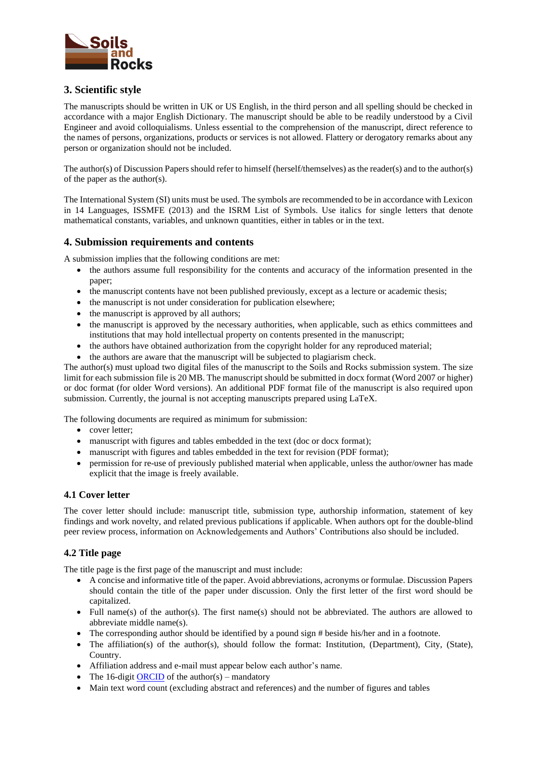

# **3. Scientific style**

The manuscripts should be written in UK or US English, in the third person and all spelling should be checked in accordance with a major English Dictionary. The manuscript should be able to be readily understood by a Civil Engineer and avoid colloquialisms. Unless essential to the comprehension of the manuscript, direct reference to the names of persons, organizations, products or services is not allowed. Flattery or derogatory remarks about any person or organization should not be included.

The author(s) of Discussion Papers should refer to himself (herself/themselves) as the reader(s) and to the author(s) of the paper as the author(s).

The International System (SI) units must be used. The symbols are recommended to be in accordance with Lexicon in 14 Languages, ISSMFE (2013) and the ISRM List of Symbols. Use italics for single letters that denote mathematical constants, variables, and unknown quantities, either in tables or in the text.

# **4. Submission requirements and contents**

A submission implies that the following conditions are met:

- the authors assume full responsibility for the contents and accuracy of the information presented in the paper;
- the manuscript contents have not been published previously, except as a lecture or academic thesis;
- the manuscript is not under consideration for publication elsewhere;
- the manuscript is approved by all authors:
- the manuscript is approved by the necessary authorities, when applicable, such as ethics committees and institutions that may hold intellectual property on contents presented in the manuscript;
- the authors have obtained authorization from the copyright holder for any reproduced material;
- the authors are aware that the manuscript will be subjected to plagiarism check.

The author(s) must upload two digital files of the manuscript to the Soils and Rocks submission system. The size limit for each submission file is 20 MB. The manuscript should be submitted in docx format (Word 2007 or higher) or doc format (for older Word versions). An additional PDF format file of the manuscript is also required upon submission. Currently, the journal is not accepting manuscripts prepared using LaTeX.

The following documents are required as minimum for submission:

- cover letter:
- manuscript with figures and tables embedded in the text (doc or docx format);
- manuscript with figures and tables embedded in the text for revision (PDF format);
- permission for re-use of previously published material when applicable, unless the author/owner has made explicit that the image is freely available.

#### **4.1 Cover letter**

The cover letter should include: manuscript title, submission type, authorship information, statement of key findings and work novelty, and related previous publications if applicable. When authors opt for the double-blind peer review process, information on Acknowledgements and Authors' Contributions also should be included.

# **4.2 Title page**

The title page is the first page of the manuscript and must include:

- A concise and informative title of the paper. Avoid abbreviations, acronyms or formulae. Discussion Papers should contain the title of the paper under discussion. Only the first letter of the first word should be capitalized.
- Full name(s) of the author(s). The first name(s) should not be abbreviated. The authors are allowed to abbreviate middle name(s).
- The corresponding author should be identified by a pound sign # beside his/her and in a footnote.
- The affiliation(s) of the author(s), should follow the format: Institution, (Department), City, (State), Country.
- Affiliation address and e-mail must appear below each author's name.
- The 16-digi[t ORCID](https://orcid.org/) of the author(s) mandatory
- Main text word count (excluding abstract and references) and the number of figures and tables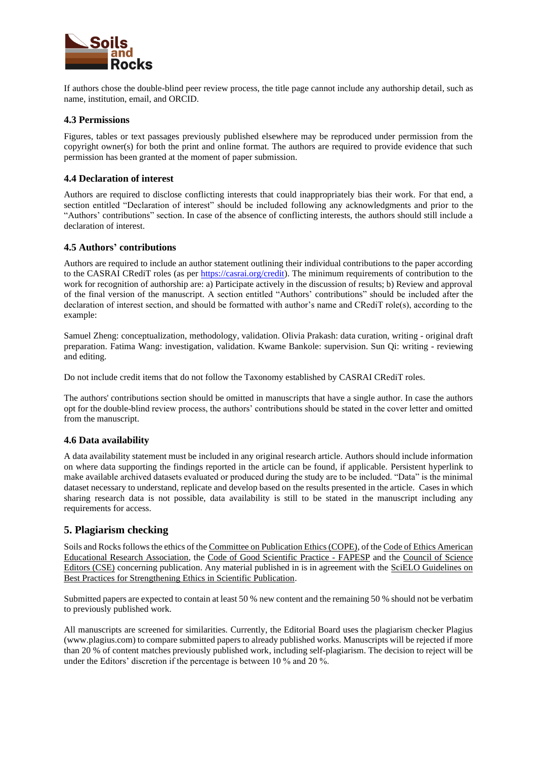

If authors chose the double-blind peer review process, the title page cannot include any authorship detail, such as name, institution, email, and ORCID.

### **4.3 Permissions**

Figures, tables or text passages previously published elsewhere may be reproduced under permission from the copyright owner(s) for both the print and online format. The authors are required to provide evidence that such permission has been granted at the moment of paper submission.

### **4.4 Declaration of interest**

Authors are required to disclose conflicting interests that could inappropriately bias their work. For that end, a section entitled "Declaration of interest" should be included following any acknowledgments and prior to the "Authors' contributions" section. In case of the absence of conflicting interests, the authors should still include a declaration of interest.

### **4.5 Authors' contributions**

Authors are required to include an author statement outlining their individual contributions to the paper according to the CASRAI CRediT roles (as per [https://casrai.org/credit\)](https://casrai.org/credit). The minimum requirements of contribution to the work for recognition of authorship are: a) Participate actively in the discussion of results; b) Review and approval of the final version of the manuscript. A section entitled "Authors' contributions" should be included after the declaration of interest section, and should be formatted with author's name and CRediT role(s), according to the example:

Samuel Zheng: conceptualization, methodology, validation. Olivia Prakash: data curation, writing - original draft preparation. Fatima Wang: investigation, validation. Kwame Bankole: supervision. Sun Qi: writing - reviewing and editing.

Do not include credit items that do not follow the Taxonomy established by CASRAI CRediT roles.

The authors' contributions section should be omitted in manuscripts that have a single author. In case the authors opt for the double-blind review process, the authors' contributions should be stated in the cover letter and omitted from the manuscript.

# **4.6 Data availability**

A data availability statement must be included in any original research article. Authors should include information on where data supporting the findings reported in the article can be found, if applicable. Persistent hyperlink to make available archived datasets evaluated or produced during the study are to be included. "Data" is the minimal dataset necessary to understand, replicate and develop based on the results presented in the article. Cases in which sharing research data is not possible, data availability is still to be stated in the manuscript including any requirements for access.

# **5. Plagiarism checking**

Soils and Rocks follows the ethics of th[e Committee on Publication Ethics \(COPE\),](https://publicationethics.org/) of th[e Code of Ethics American](https://cdn.ymaws.com/wera.site-ym.com/resource/resmgr/a_general/aera.pdf)  [Educational Research Association,](https://cdn.ymaws.com/wera.site-ym.com/resource/resmgr/a_general/aera.pdf) the [Code of Good Scientific Practice -](http://www.fapesp.br/boaspraticas/) FAPESP and the [Council of Science](https://www.councilscienceeditors.org/)  [Editors \(CSE\)](https://www.councilscienceeditors.org/) concerning publication. Any material published in is in agreement with the [SciELO Guidelines on](https://wp.scielo.org/wp-content/uploads/Guide-to-Best-Practices-for-Strengthening-Ethics-in-Scientific-Publishing.pdf)  [Best Practices for Strengthening Ethics in Scientific Publication.](https://wp.scielo.org/wp-content/uploads/Guide-to-Best-Practices-for-Strengthening-Ethics-in-Scientific-Publishing.pdf)

Submitted papers are expected to contain at least 50 % new content and the remaining 50 % should not be verbatim to previously published work.

All manuscripts are screened for similarities. Currently, the Editorial Board uses the plagiarism checker Plagius (www.plagius.com) to compare submitted papers to already published works. Manuscripts will be rejected if more than 20 % of content matches previously published work, including self-plagiarism. The decision to reject will be under the Editors' discretion if the percentage is between 10 % and 20 %.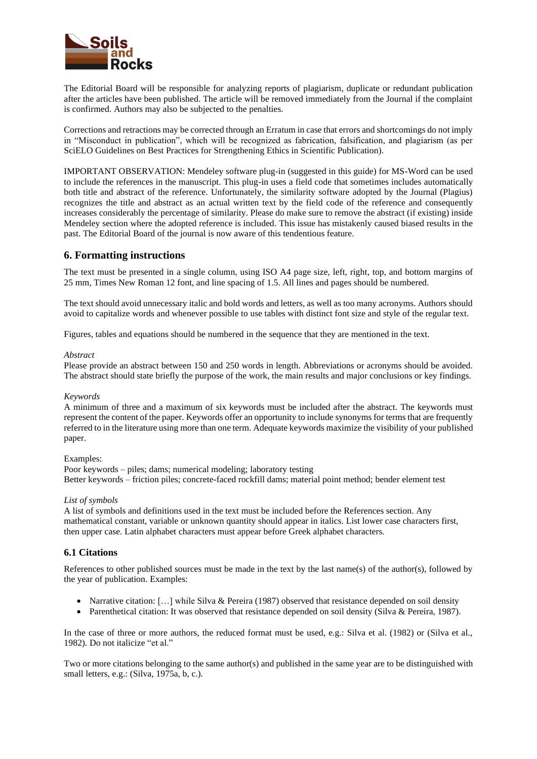

The Editorial Board will be responsible for analyzing reports of plagiarism, duplicate or redundant publication after the articles have been published. The article will be removed immediately from the Journal if the complaint is confirmed. Authors may also be subjected to the penalties.

Corrections and retractions may be corrected through an Erratum in case that errors and shortcomings do not imply in "Misconduct in publication", which will be recognized as fabrication, falsification, and plagiarism (as per SciELO Guidelines on Best Practices for Strengthening Ethics in Scientific Publication).

IMPORTANT OBSERVATION: Mendeley software plug-in (suggested in this guide) for MS-Word can be used to include the references in the manuscript. This plug-in uses a field code that sometimes includes automatically both title and abstract of the reference. Unfortunately, the similarity software adopted by the Journal (Plagius) recognizes the title and abstract as an actual written text by the field code of the reference and consequently increases considerably the percentage of similarity. Please do make sure to remove the abstract (if existing) inside Mendeley section where the adopted reference is included. This issue has mistakenly caused biased results in the past. The Editorial Board of the journal is now aware of this tendentious feature.

# **6. Formatting instructions**

The text must be presented in a single column, using ISO A4 page size, left, right, top, and bottom margins of 25 mm, Times New Roman 12 font, and line spacing of 1.5. All lines and pages should be numbered.

The text should avoid unnecessary italic and bold words and letters, as well as too many acronyms. Authors should avoid to capitalize words and whenever possible to use tables with distinct font size and style of the regular text.

Figures, tables and equations should be numbered in the sequence that they are mentioned in the text.

#### *Abstract*

Please provide an abstract between 150 and 250 words in length. Abbreviations or acronyms should be avoided. The abstract should state briefly the purpose of the work, the main results and major conclusions or key findings.

#### *Keywords*

A minimum of three and a maximum of six keywords must be included after the abstract. The keywords must represent the content of the paper. Keywords offer an opportunity to include synonyms for terms that are frequently referred to in the literature using more than one term. Adequate keywords maximize the visibility of your published paper.

#### Examples:

Poor keywords – piles; dams; numerical modeling; laboratory testing Better keywords – friction piles; concrete-faced rockfill dams; material point method; bender element test

#### *List of symbols*

A list of symbols and definitions used in the text must be included before the References section. Any mathematical constant, variable or unknown quantity should appear in italics. List lower case characters first, then upper case. Latin alphabet characters must appear before Greek alphabet characters.

# **6.1 Citations**

References to other published sources must be made in the text by the last name(s) of the author(s), followed by the year of publication. Examples:

- Narrative citation: [...] while Silva & Pereira (1987) observed that resistance depended on soil density
- Parenthetical citation: It was observed that resistance depended on soil density (Silva & Pereira, 1987).

In the case of three or more authors, the reduced format must be used, e.g.: Silva et al. (1982) or (Silva et al., 1982). Do not italicize "et al."

Two or more citations belonging to the same author(s) and published in the same year are to be distinguished with small letters, e.g.: (Silva, 1975a, b, c.).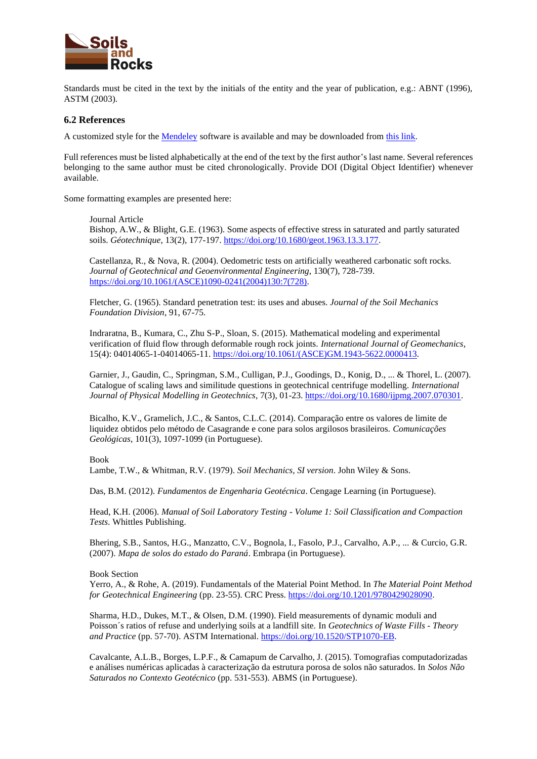

Standards must be cited in the text by the initials of the entity and the year of publication, e.g.: ABNT (1996), ASTM (2003).

#### **6.2 References**

A customized style for the [Mendeley](https://www.mendeley.com/) software is available and may be downloaded from [this link.](https://csl.mendeley.com/styles/583367631/soilsandrocks-4)

Full references must be listed alphabetically at the end of the text by the first author's last name. Several references belonging to the same author must be cited chronologically. Provide DOI (Digital Object Identifier) whenever available.

Some formatting examples are presented here:

Journal Article

Bishop, A.W., & Blight, G.E. (1963). Some aspects of effective stress in saturated and partly saturated soils. *Géotechnique*, 13(2), 177-197. [https://doi.org/10.1680/geot.1963.13.3.177.](https://doi.org/10.1680/geot.1963.13.3.177)

Castellanza, R., & Nova, R. (2004). Oedometric tests on artificially weathered carbonatic soft rocks. *Journal of Geotechnical and Geoenvironmental Engineering*, 130(7), 728-739. [https://doi.org/10.1061/\(ASCE\)1090-0241\(2004\)130:7\(728\).](https://doi.org/10.1061/(ASCE)1090-0241(2004)130:7(728))

Fletcher, G. (1965). Standard penetration test: its uses and abuses. *Journal of the Soil Mechanics Foundation Division*, 91, 67-75.

Indraratna, B., Kumara, C., Zhu S-P., Sloan, S. (2015). Mathematical modeling and experimental verification of fluid flow through deformable rough rock joints. *International Journal of Geomechanics*, 15(4): 04014065-1-04014065-11. [https://doi.org/10.1061/\(ASCE\)GM.1943-5622.0000413.](https://doi.org/10.1061/(ASCE)GM.1943-5622.0000413)

Garnier, J., Gaudin, C., Springman, S.M., Culligan, P.J., Goodings, D., Konig, D., ... & Thorel, L. (2007). Catalogue of scaling laws and similitude questions in geotechnical centrifuge modelling. *International Journal of Physical Modelling in Geotechnics*, 7(3), 01-23[. https://doi.org/10.1680/ijpmg.2007.070301.](https://doi.org/10.1680/ijpmg.2007.070301)

Bicalho, K.V., Gramelich, J.C., & Santos, C.L.C. (2014). Comparação entre os valores de limite de liquidez obtidos pelo método de Casagrande e cone para solos argilosos brasileiros. *Comunicações Geológicas*, 101(3), 1097-1099 (in Portuguese).

Book

Lambe, T.W., & Whitman, R.V. (1979). *Soil Mechanics, SI version*. John Wiley & Sons.

Das, B.M. (2012). *Fundamentos de Engenharia Geotécnica*. Cengage Learning (in Portuguese).

Head, K.H. (2006). *Manual of Soil Laboratory Testing - Volume 1: Soil Classification and Compaction Tests*. Whittles Publishing.

Bhering, S.B., Santos, H.G., Manzatto, C.V., Bognola, I., Fasolo, P.J., Carvalho, A.P., ... & Curcio, G.R. (2007). *Mapa de solos do estado do Paraná*. Embrapa (in Portuguese).

Book Section

Yerro, A., & Rohe, A. (2019). Fundamentals of the Material Point Method. In *The Material Point Method for Geotechnical Engineering* (pp. 23-55). CRC Press. [https://doi.org/10.1201/9780429028090.](https://doi.org/10.1201/9780429028090)

Sharma, H.D., Dukes, M.T., & Olsen, D.M. (1990). Field measurements of dynamic moduli and Poisson´s ratios of refuse and underlying soils at a landfill site. In *Geotechnics of Waste Fills - Theory and Practice* (pp. 57-70). ASTM International[. https://doi.org/10.1520/STP1070-EB.](https://doi.org/10.1520/STP1070-EB)

Cavalcante, A.L.B., Borges, L.P.F., & Camapum de Carvalho, J. (2015). Tomografias computadorizadas e análises numéricas aplicadas à caracterização da estrutura porosa de solos não saturados. In *Solos Não Saturados no Contexto Geotécnico* (pp. 531-553). ABMS (in Portuguese).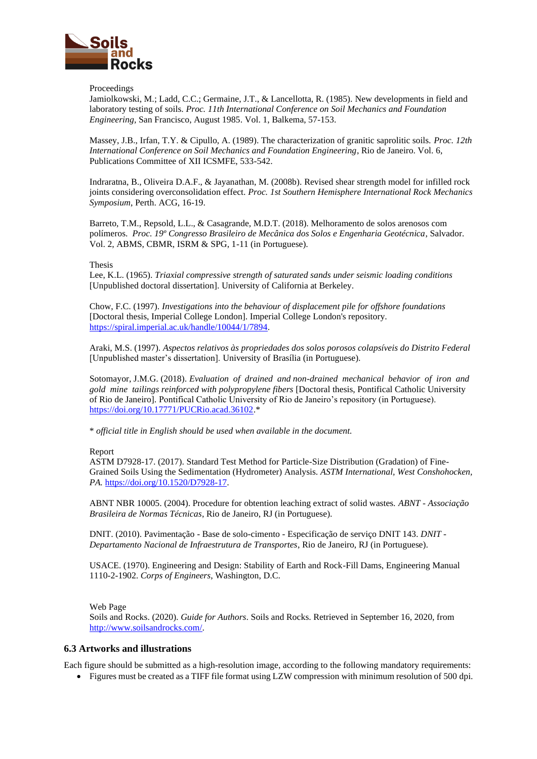

#### Proceedings

Jamiolkowski, M.; Ladd, C.C.; Germaine, J.T., & Lancellotta, R. (1985). New developments in field and laboratory testing of soils. *Proc. 11th International Conference on Soil Mechanics and Foundation Engineering,* San Francisco, August 1985. Vol. 1, Balkema, 57-153.

Massey, J.B., Irfan, T.Y. & Cipullo, A. (1989). The characterization of granitic saprolitic soils. *Proc. 12th International Conference on Soil Mechanics and Foundation Engineering*, Rio de Janeiro. Vol. 6, Publications Committee of XII ICSMFE, 533-542.

Indraratna, B., Oliveira D.A.F., & Jayanathan, M. (2008b). Revised shear strength model for infilled rock joints considering overconsolidation effect. *Proc. 1st Southern Hemisphere International Rock Mechanics Symposium*, Perth. ACG, 16-19.

Barreto, T.M., Repsold, L.L., & Casagrande, M.D.T. (2018). Melhoramento de solos arenosos com polímeros. *Proc. 19º Congresso Brasileiro de Mecânica dos Solos e Engenharia Geotécnica*, Salvador. Vol. 2, ABMS, CBMR, ISRM & SPG, 1-11 (in Portuguese).

#### Thesis

Lee, K.L. (1965). *Triaxial compressive strength of saturated sands under seismic loading conditions* [Unpublished doctoral dissertation]. University of California at Berkeley.

Chow, F.C. (1997). *Investigations into the behaviour of displacement pile for offshore foundations* [Doctoral thesis, Imperial College London]. Imperial College London's repository. [https://spiral.imperial.ac.uk/handle/10044/1/7894.](https://spiral.imperial.ac.uk/handle/10044/1/7894)

Araki, M.S. (1997). *Aspectos relativos às propriedades dos solos porosos colapsíveis do Distrito Federal* [Unpublished master's dissertation]. University of Brasília (in Portuguese).

Sotomayor, J.M.G. (2018). *Evaluation of drained and non-drained mechanical behavior of iron and gold mine tailings reinforced with polypropylene fibers* [Doctoral thesis, Pontifical Catholic University of Rio de Janeiro]. Pontifical Catholic University of Rio de Janeiro's repository (in Portuguese). [https://doi.org/10.17771/PUCRio.acad.36102.\\*](https://doi.org/10.17771/PUCRio.acad.36102*)

\* *official title in English should be used when available in the document.*

#### Report

ASTM D7928-17. (2017). Standard Test Method for Particle-Size Distribution (Gradation) of Fine-Grained Soils Using the Sedimentation (Hydrometer) Analysis. *ASTM International, West Conshohocken, PA.* [https://doi.org/10.1520/D7928-17.](https://doi.org/10.1520/D7928-17)

ABNT NBR 10005. (2004). Procedure for obtention leaching extract of solid wastes. *ABNT - Associação Brasileira de Normas Técnicas*, Rio de Janeiro, RJ (in Portuguese).

DNIT. (2010). Pavimentação - Base de solo-cimento - Especificação de serviço DNIT 143. *DNIT - Departamento Nacional de Infraestrutura de Transportes*, Rio de Janeiro, RJ (in Portuguese).

USACE. (1970). Engineering and Design: Stability of Earth and Rock-Fill Dams, Engineering Manual 1110-2-1902. *Corps of Engineers*, Washington, D.C.

Web Page

Soils and Rocks. (2020). *Guide for Authors*. Soils and Rocks. Retrieved in September 16, 2020, from [http://www.soilsandrocks.com/.](http://www.soilsandrocks.com/)

### **6.3 Artworks and illustrations**

Each figure should be submitted as a high-resolution image, according to the following mandatory requirements:

• Figures must be created as a TIFF file format using LZW compression with minimum resolution of 500 dpi.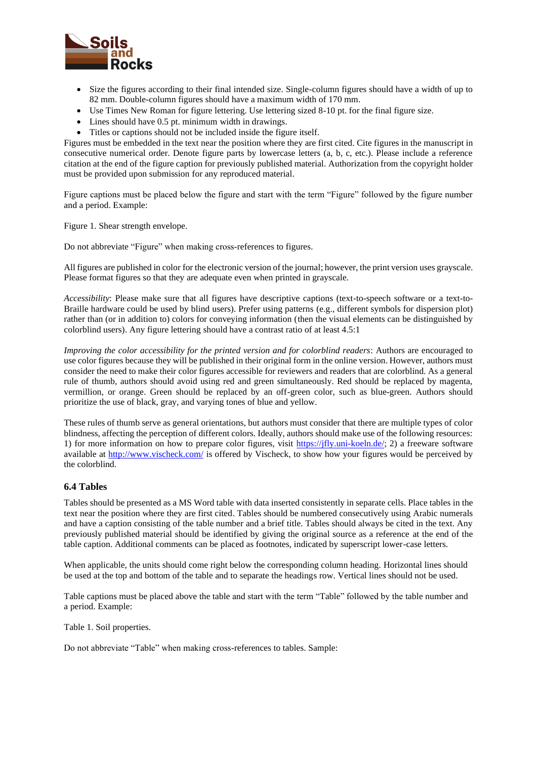

- Size the figures according to their final intended size. Single-column figures should have a width of up to 82 mm. Double-column figures should have a maximum width of 170 mm.
- Use Times New Roman for figure lettering. Use lettering sized 8-10 pt. for the final figure size.
- Lines should have 0.5 pt. minimum width in drawings.
- Titles or captions should not be included inside the figure itself.

Figures must be embedded in the text near the position where they are first cited. Cite figures in the manuscript in consecutive numerical order. Denote figure parts by lowercase letters (a, b, c, etc.). Please include a reference citation at the end of the figure caption for previously published material. Authorization from the copyright holder must be provided upon submission for any reproduced material.

Figure captions must be placed below the figure and start with the term "Figure" followed by the figure number and a period. Example:

Figure 1. Shear strength envelope.

Do not abbreviate "Figure" when making cross-references to figures.

All figures are published in color for the electronic version of the journal; however, the print version uses grayscale. Please format figures so that they are adequate even when printed in grayscale.

*Accessibility*: Please make sure that all figures have descriptive captions (text-to-speech software or a text-to-Braille hardware could be used by blind users). Prefer using patterns (e.g., different symbols for dispersion plot) rather than (or in addition to) colors for conveying information (then the visual elements can be distinguished by colorblind users). Any figure lettering should have a contrast ratio of at least 4.5:1

*Improving the color accessibility for the printed version and for colorblind readers*: Authors are encouraged to use color figures because they will be published in their original form in the online version. However, authors must consider the need to make their color figures accessible for reviewers and readers that are colorblind. As a general rule of thumb, authors should avoid using red and green simultaneously. Red should be replaced by magenta, vermillion, or orange. Green should be replaced by an off-green color, such as blue-green. Authors should prioritize the use of black, gray, and varying tones of blue and yellow.

These rules of thumb serve as general orientations, but authors must consider that there are multiple types of color blindness, affecting the perception of different colors. Ideally, authors should make use of the following resources: 1) for more information on how to prepare color figures, visit [https://jfly.uni-koeln.de/;](https://jfly.uni-koeln.de/) 2) a freeware software available at<http://www.vischeck.com/> is offered by Vischeck, to show how your figures would be perceived by the colorblind.

#### **6.4 Tables**

Tables should be presented as a MS Word table with data inserted consistently in separate cells. Place tables in the text near the position where they are first cited. Tables should be numbered consecutively using Arabic numerals and have a caption consisting of the table number and a brief title. Tables should always be cited in the text. Any previously published material should be identified by giving the original source as a reference at the end of the table caption. Additional comments can be placed as footnotes, indicated by superscript lower-case letters.

When applicable, the units should come right below the corresponding column heading. Horizontal lines should be used at the top and bottom of the table and to separate the headings row. Vertical lines should not be used.

Table captions must be placed above the table and start with the term "Table" followed by the table number and a period. Example:

Table 1. Soil properties.

Do not abbreviate "Table" when making cross-references to tables. Sample: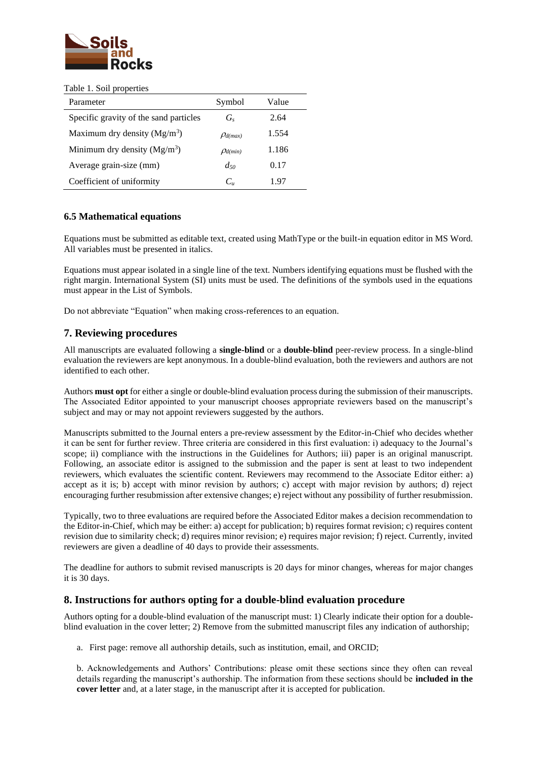

#### Table 1. Soil properties

| Parameter                              | Symbol                 | Value |
|----------------------------------------|------------------------|-------|
| Specific gravity of the sand particles | $G_{s}$                | 2.64  |
| Maximum dry density $(Mg/m3)$          | $\mathcal{P}_{d(max)}$ | 1.554 |
| Minimum dry density $(Mg/m3)$          | $\mathcal{P}_{d(min)}$ | 1.186 |
| Average grain-size (mm)                | $d_{50}$               | 0.17  |
| Coefficient of uniformity              | $C_u$                  | 1.97  |

# **6.5 Mathematical equations**

Equations must be submitted as editable text, created using MathType or the built-in equation editor in MS Word. All variables must be presented in italics.

Equations must appear isolated in a single line of the text. Numbers identifying equations must be flushed with the right margin. International System (SI) units must be used. The definitions of the symbols used in the equations must appear in the List of Symbols.

Do not abbreviate "Equation" when making cross-references to an equation.

# **7. Reviewing procedures**

All manuscripts are evaluated following a **single-blind** or a **double-blind** peer-review process. In a single-blind evaluation the reviewers are kept anonymous. In a double-blind evaluation, both the reviewers and authors are not identified to each other.

Authors **must opt** for either a single or double-blind evaluation process during the submission of their manuscripts. The Associated Editor appointed to your manuscript chooses appropriate reviewers based on the manuscript's subject and may or may not appoint reviewers suggested by the authors.

Manuscripts submitted to the Journal enters a pre-review assessment by the Editor-in-Chief who decides whether it can be sent for further review. Three criteria are considered in this first evaluation: i) adequacy to the Journal's scope; ii) compliance with the instructions in the Guidelines for Authors; iii) paper is an original manuscript. Following, an associate editor is assigned to the submission and the paper is sent at least to two independent reviewers, which evaluates the scientific content. Reviewers may recommend to the Associate Editor either: a) accept as it is; b) accept with minor revision by authors; c) accept with major revision by authors; d) reject encouraging further resubmission after extensive changes; e) reject without any possibility of further resubmission.

Typically, two to three evaluations are required before the Associated Editor makes a decision recommendation to the Editor-in-Chief, which may be either: a) accept for publication; b) requires format revision; c) requires content revision due to similarity check; d) requires minor revision; e) requires major revision; f) reject. Currently, invited reviewers are given a deadline of 40 days to provide their assessments.

The deadline for authors to submit revised manuscripts is 20 days for minor changes, whereas for major changes it is 30 days.

# **8. Instructions for authors opting for a double-blind evaluation procedure**

Authors opting for a double-blind evaluation of the manuscript must: 1) Clearly indicate their option for a doubleblind evaluation in the cover letter; 2) Remove from the submitted manuscript files any indication of authorship;

a. First page: remove all authorship details, such as institution, email, and ORCID;

b. Acknowledgements and Authors' Contributions: please omit these sections since they often can reveal details regarding the manuscript's authorship. The information from these sections should be **included in the cover letter** and, at a later stage, in the manuscript after it is accepted for publication.